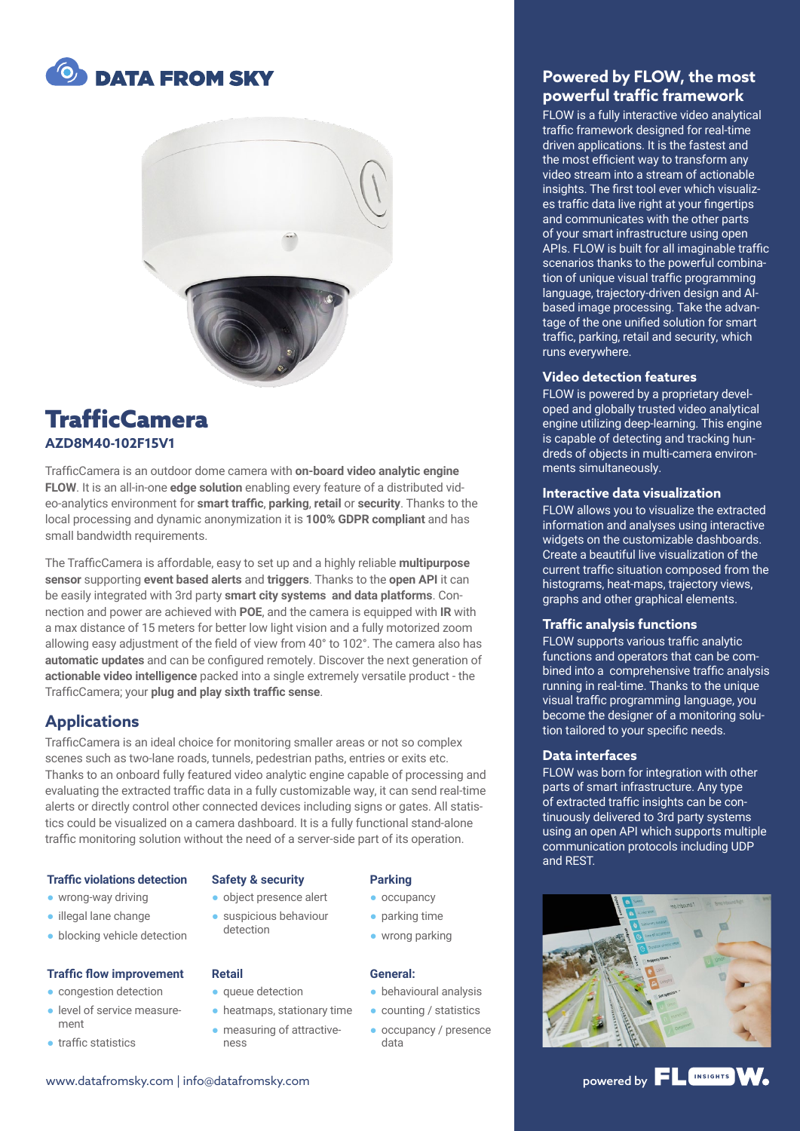



# **TrafficCamera AZD8M40-102F15V1**

TrafficCamera is an outdoor dome camera with **on-board video analytic engine FLOW**. It is an all-in-one **edge solution** enabling every feature of a distributed video-analytics environment for **smart traffic**, **parking**, **retail** or **security**. Thanks to the local processing and dynamic anonymization it is **100% GDPR compliant** and has small bandwidth requirements.

The TrafficCamera is affordable, easy to set up and a highly reliable **multipurpose sensor** supporting **event based alerts** and **triggers**. Thanks to the **open API** it can be easily integrated with 3rd party **smart city systems and data platforms**. Connection and power are achieved with **POE**, and the camera is equipped with **IR** with a max distance of 15 meters for better low light vision and a fully motorized zoom allowing easy adjustment of the field of view from 40° to 102°. The camera also has **automatic updates** and can be configured remotely. Discover the next generation of **actionable video intelligence** packed into a single extremely versatile product - the TrafficCamera; your **plug and play sixth traffic sense**.

# **Applications**

TrafficCamera is an ideal choice for monitoring smaller areas or not so complex scenes such as two-lane roads, tunnels, pedestrian paths, entries or exits etc. Thanks to an onboard fully featured video analytic engine capable of processing and evaluating the extracted traffic data in a fully customizable way, it can send real-time alerts or directly control other connected devices including signs or gates. All statistics could be visualized on a camera dashboard. It is a fully functional stand-alone traffic monitoring solution without the need of a server-side part of its operation.

#### **Traffic violations detection**

#### ● wrong-way driving

- illegal lane change
- blocking vehicle detection

#### **Traffic flow improvement**

- congestion detection
- level of service measurement
- traffic statistics

#### **Safety & security**

● object presence alert ● suspicious behaviour detection

#### **Retail**

- queue detection
- heatmaps, stationary time
- measuring of attractive-
- ness

#### **Parking**

- occupancy
- parking time
- wrong parking

#### **General:**

- behavioural analysis
- counting / statistics
- occupancy / presence data

## **Powered by FLOW, the most powerful traffic framework**

FLOW is a fully interactive video analytical traffic framework designed for real-time driven applications. It is the fastest and the most efficient way to transform any video stream into a stream of actionable insights. The first tool ever which visualizes traffic data live right at your fingertips and communicates with the other parts of your smart infrastructure using open APIs. FLOW is built for all imaginable traffic scenarios thanks to the powerful combination of unique visual traffic programming language, trajectory-driven design and AIbased image processing. Take the advantage of the one unified solution for smart traffic, parking, retail and security, which runs everywhere.

#### **Video detection features**

FLOW is powered by a proprietary developed and globally trusted video analytical engine utilizing deep-learning. This engine is capable of detecting and tracking hundreds of objects in multi-camera environments simultaneously.

#### **Interactive data visualization**

FLOW allows you to visualize the extracted information and analyses using interactive widgets on the customizable dashboards. Create a beautiful live visualization of the current traffic situation composed from the histograms, heat-maps, trajectory views, graphs and other graphical elements.

#### **Traffic analysis functions**

FLOW supports various traffic analytic functions and operators that can be combined into a comprehensive traffic analysis running in real-time. Thanks to the unique visual traffic programming language, you become the designer of a monitoring solution tailored to your specific needs.

#### **Data interfaces**

FLOW was born for integration with other parts of smart infrastructure. Any type of extracted traffic insights can be continuously delivered to 3rd party systems using an open API which supports multiple communication protocols including UDP and REST.



# www.datafromsky.com | info@datafromsky.com powered by